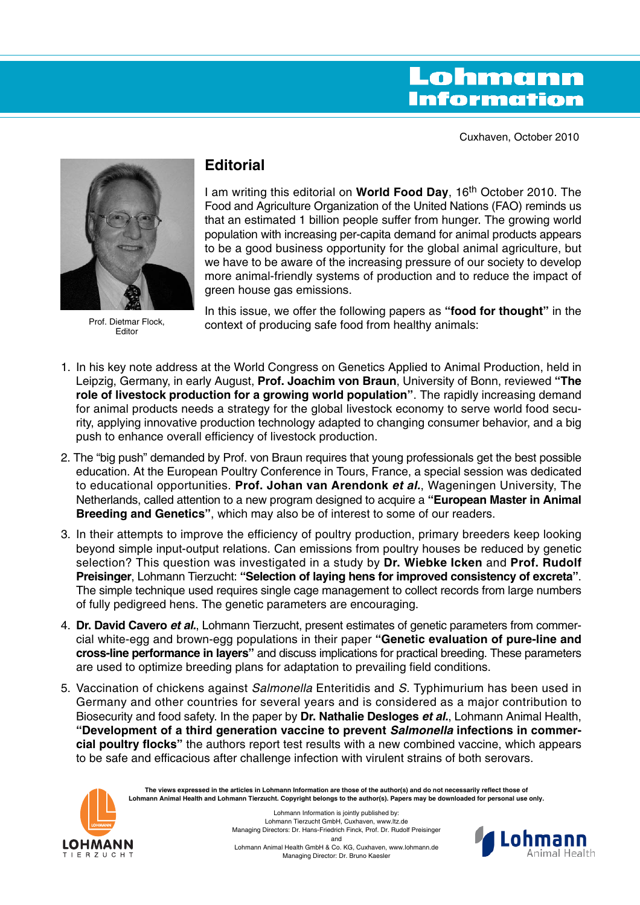# Lohmann **Information**

Cuxhaven, October 2010



Prof. Dietmar Flock, Editor

## **Editorial**

I am writing this editorial on **World Food Day**, 16th October 2010. The Food and Agriculture Organization of the United Nations (FAO) reminds us that an estimated 1 billion people suffer from hunger. The growing world population with increasing per-capita demand for animal products appears to be a good business opportunity for the global animal agriculture, but we have to be aware of the increasing pressure of our society to develop more animal-friendly systems of production and to reduce the impact of green house gas emissions.

In this issue, we offer the following papers as **"food for thought"** in the context of producing safe food from healthy animals:

- 1. In his key note address at the World Congress on Genetics Applied to Animal Production, held in Leipzig, Germany, in early August, **Prof. Joachim von Braun**, University of Bonn, reviewed **"The role of livestock production for a growing world population"**. The rapidly increasing demand for animal products needs a strategy for the global livestock economy to serve world food security, applying innovative production technology adapted to changing consumer behavior, and a big push to enhance overall efficiency of livestock production.
- 2. The "big push" demanded by Prof. von Braun requires that young professionals get the best possible education. At the European Poultry Conference in Tours, France, a special session was dedicated to educational opportunities. **Prof. Johan van Arendonk et al.**, Wageningen University, The Netherlands, called attention to a new program designed to acquire a **"European Master in Animal Breeding and Genetics"**, which may also be of interest to some of our readers.
- 3. In their attempts to improve the efficiency of poultry production, primary breeders keep looking beyond simple input-output relations. Can emissions from poultry houses be reduced by genetic selection? This question was investigated in a study by **Dr. Wiebke Icken** and **Prof. Rudolf Preisinger**, Lohmann Tierzucht: **"Selection of laying hens for improved consistency of excreta"**. The simple technique used requires single cage management to collect records from large numbers of fully pedigreed hens. The genetic parameters are encouraging.
- 4. **Dr. David Cavero et al.**, Lohmann Tierzucht, present estimates of genetic parameters from commercial white-egg and brown-egg populations in their paper **"Genetic evaluation of pure-line and cross-line performance in layers"** and discuss implications for practical breeding. These parameters are used to optimize breeding plans for adaptation to prevailing field conditions.
- 5. Vaccination of chickens against *Salmonella* Enteritidis and S. Typhimurium has been used in Germany and other countries for several years and is considered as a major contribution to Biosecurity and food safety. In the paper by **Dr. Nathalie Desloges et al.**, Lohmann Animal Health, **"Development of a third generation vaccine to prevent Salmonella infections in commercial poultry flocks"** the authors report test results with a new combined vaccine, which appears to be safe and efficacious after challenge infection with virulent strains of both serovars.



**The views expressed in the articles in Lohmann Information are those of the author(s) and do not necessarily reflect those of Lohmann Animal Health and Lohmann Tierzucht. Copyright belongs to the author(s). Papers may be downloaded for personal use only.**

> Lohmann Information is jointly published by: Lohmann Tierzucht GmbH, Cuxhaven, www.ltz.de Managing Directors: Dr. Hans-Friedrich Finck, Prof. Dr. Rudolf Preisinger and Lohmann Animal Health GmbH & Co. KG, Cuxhaven, www.lohmann.de Managing Director: Dr. Bruno Kaesler

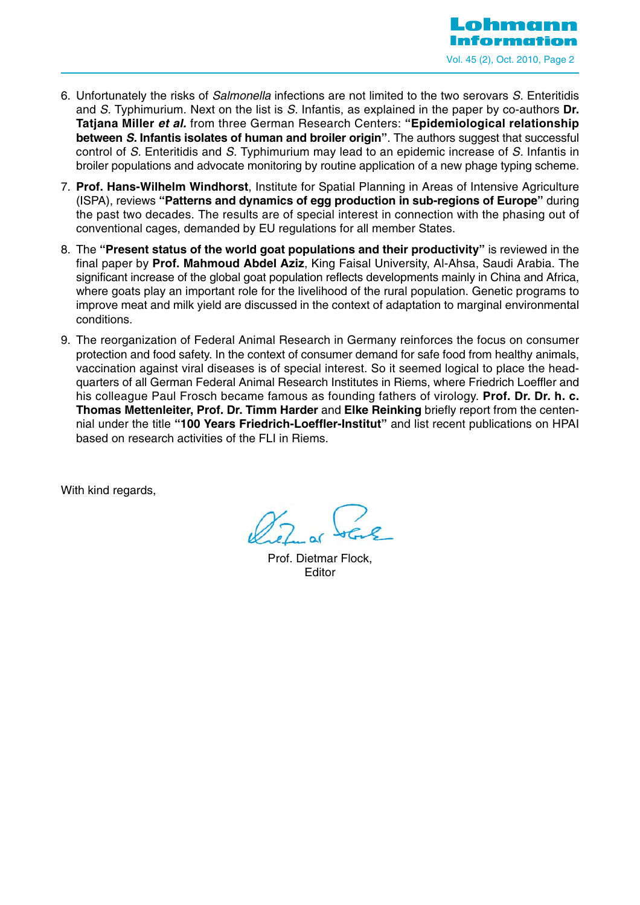

- 6. Unfortunately the risks of Salmonella infections are not limited to the two serovars S. Enteritidis and S. Typhimurium. Next on the list is S. Infantis, as explained in the paper by co-authors **Dr. Tatjana Miller et al.** from three German Research Centers: **"Epidemiological relationship between S. Infantis isolates of human and broiler origin"**. The authors suggest that successful control of S. Enteritidis and S. Typhimurium may lead to an epidemic increase of S. Infantis in broiler populations and advocate monitoring by routine application of a new phage typing scheme.
- 7. **Prof. Hans-Wilhelm Windhorst**, Institute for Spatial Planning in Areas of Intensive Agriculture (ISPA), reviews **"Patterns and dynamics of egg production in sub-regions of Europe"** during the past two decades. The results are of special interest in connection with the phasing out of conventional cages, demanded by EU regulations for all member States.
- 8. The **"Present status of the world goat populations and their productivity"** is reviewed in the final paper by **Prof. Mahmoud Abdel Aziz**, King Faisal University, Al-Ahsa, Saudi Arabia. The significant increase of the global goat population reflects developments mainly in China and Africa, where goats play an important role for the livelihood of the rural population. Genetic programs to improve meat and milk yield are discussed in the context of adaptation to marginal environmental conditions.
- 9. The reorganization of Federal Animal Research in Germany reinforces the focus on consumer protection and food safety. In the context of consumer demand for safe food from healthy animals, vaccination against viral diseases is of special interest. So it seemed logical to place the headquarters of all German Federal Animal Research Institutes in Riems, where Friedrich Loeffler and his colleague Paul Frosch became famous as founding fathers of virology. **Prof. Dr. Dr. h. c. Thomas Mettenleiter, Prof. Dr. Timm Harder** and **Elke Reinking** briefly report from the centennial under the title **"100 Years Friedrich-Loeffler-Institut"** and list recent publications on HPAI based on research activities of the FLI in Riems.

With kind regards.

Prof. Dietmar Flock, Editor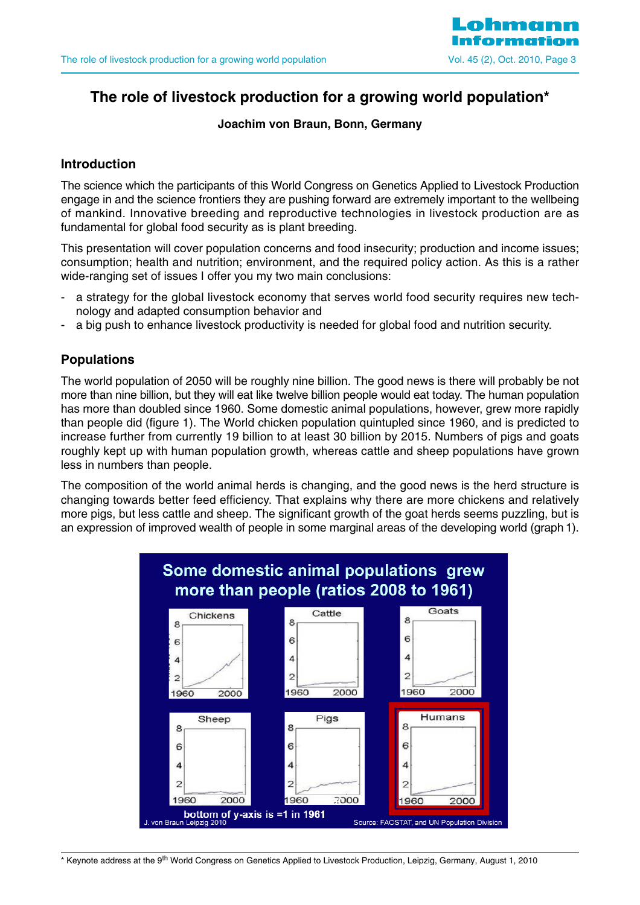

## **The role of livestock production for a growing world population\***

#### **Joachim von Braun, Bonn, Germany**

#### **Introduction**

The science which the participants of this World Congress on Genetics Applied to Livestock Production engage in and the science frontiers they are pushing forward are extremely important to the wellbeing of mankind. Innovative breeding and reproductive technologies in livestock production are as fundamental for global food security as is plant breeding.

This presentation will cover population concerns and food insecurity; production and income issues; consumption; health and nutrition; environment, and the required policy action. As this is a rather wide-ranging set of issues I offer you my two main conclusions:

- a strategy for the global livestock economy that serves world food security requires new technology and adapted consumption behavior and
- a big push to enhance livestock productivity is needed for global food and nutrition security.

## **Populations**

The world population of 2050 will be roughly nine billion. The good news is there will probably be not more than nine billion, but they will eat like twelve billion people would eat today. The human population has more than doubled since 1960. Some domestic animal populations, however, grew more rapidly than people did (figure 1). The World chicken population quintupled since 1960, and is predicted to increase further from currently 19 billion to at least 30 billion by 2015. Numbers of pigs and goats roughly kept up with human population growth, whereas cattle and sheep populations have grown less in numbers than people.

The composition of the world animal herds is changing, and the good news is the herd structure is changing towards better feed efficiency. That explains why there are more chickens and relatively more pigs, but less cattle and sheep. The significant growth of the goat herds seems puzzling, but is an expression of improved wealth of people in some marginal areas of the developing world (graph 1).



\* Keynote address at the 9<sup>th</sup> World Congress on Genetics Applied to Livestock Production, Leipzig, Germany, August 1, 2010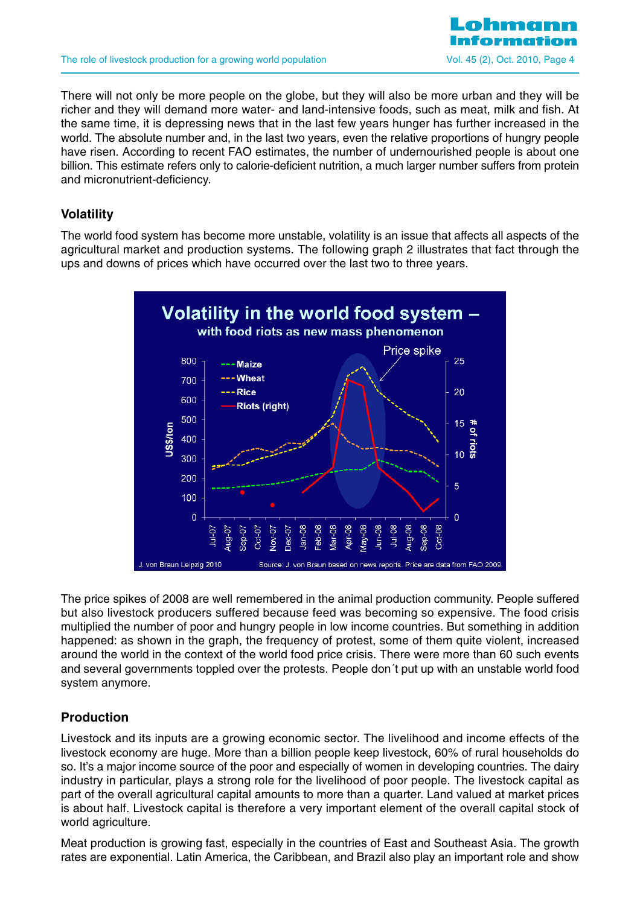

There will not only be more people on the globe, but they will also be more urban and they will be richer and they will demand more water- and land-intensive foods, such as meat, milk and fish. At the same time, it is depressing news that in the last few years hunger has further increased in the world. The absolute number and, in the last two years, even the relative proportions of hungry people have risen. According to recent FAO estimates, the number of undernourished people is about one billion. This estimate refers only to calorie-deficient nutrition, a much larger number suffers from protein and micronutrient-deficiency.

## **Volatility**

The world food system has become more unstable, volatility is an issue that affects all aspects of the agricultural market and production systems. The following graph 2 illustrates that fact through the ups and downs of prices which have occurred over the last two to three years.



The price spikes of 2008 are well remembered in the animal production community. People suffered but also livestock producers suffered because feed was becoming so expensive. The food crisis multiplied the number of poor and hungry people in low income countries. But something in addition happened: as shown in the graph, the frequency of protest, some of them quite violent, increased around the world in the context of the world food price crisis. There were more than 60 such events and several governments toppled over the protests. People don´t put up with an unstable world food system anymore.

## **Production**

Livestock and its inputs are a growing economic sector. The livelihood and income effects of the livestock economy are huge. More than a billion people keep livestock, 60% of rural households do so. It's a major income source of the poor and especially of women in developing countries. The dairy industry in particular, plays a strong role for the livelihood of poor people. The livestock capital as part of the overall agricultural capital amounts to more than a quarter. Land valued at market prices is about half. Livestock capital is therefore a very important element of the overall capital stock of world agriculture.

Meat production is growing fast, especially in the countries of East and Southeast Asia. The growth rates are exponential. Latin America, the Caribbean, and Brazil also play an important role and show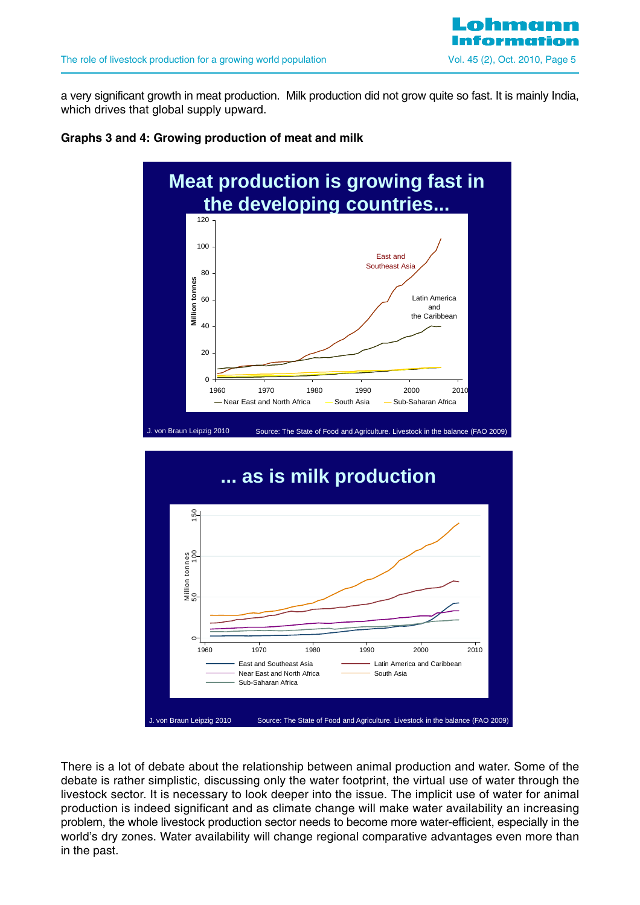a very significant growth in meat production. Milk production did not grow quite so fast. It is mainly India, which drives that global supply upward.

#### **Graphs 3 and 4: Growing production of meat and milk**





There is a lot of debate about the relationship between animal production and water. Some of the debate is rather simplistic, discussing only the water footprint, the virtual use of water through the livestock sector. It is necessary to look deeper into the issue. The implicit use of water for animal production is indeed significant and as climate change will make water availability an increasing problem, the whole livestock production sector needs to become more water-efficient, especially in the world's dry zones. Water availability will change regional comparative advantages even more than in the past.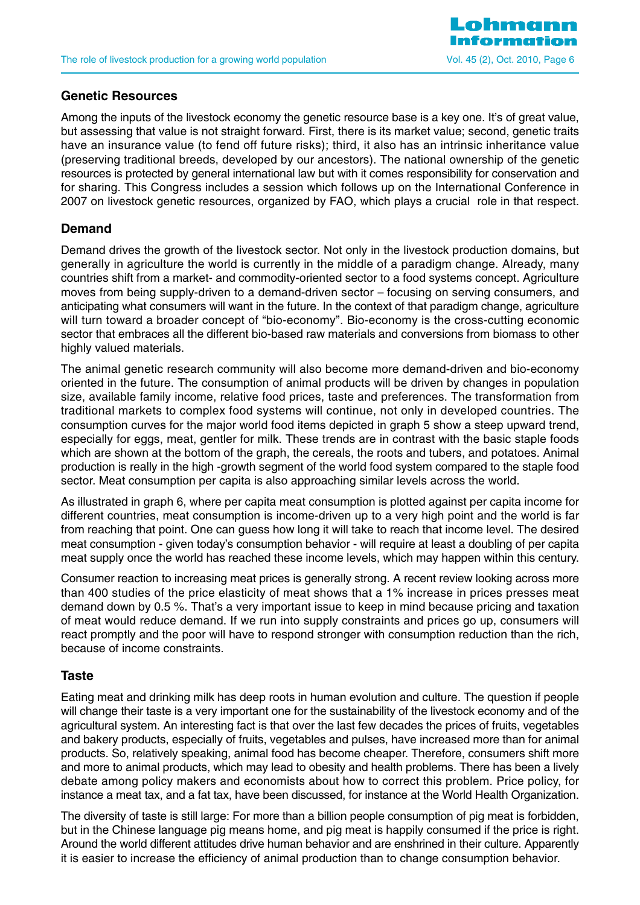

#### **Genetic Resources**

Among the inputs of the livestock economy the genetic resource base is a key one. It's of great value, but assessing that value is not straight forward. First, there is its market value; second, genetic traits have an insurance value (to fend off future risks); third, it also has an intrinsic inheritance value (preserving traditional breeds, developed by our ancestors). The national ownership of the genetic resources is protected by general international law but with it comes responsibility for conservation and for sharing. This Congress includes a session which follows up on the International Conference in 2007 on livestock genetic resources, organized by FAO, which plays a crucial role in that respect.

#### **Demand**

Demand drives the growth of the livestock sector. Not only in the livestock production domains, but generally in agriculture the world is currently in the middle of a paradigm change. Already, many countries shift from a market- and commodity-oriented sector to a food systems concept. Agriculture moves from being supply-driven to a demand-driven sector – focusing on serving consumers, and anticipating what consumers will want in the future. In the context of that paradigm change, agriculture will turn toward a broader concept of "bio-economy". Bio-economy is the cross-cutting economic sector that embraces all the different bio-based raw materials and conversions from biomass to other highly valued materials.

The animal genetic research community will also become more demand-driven and bio-economy oriented in the future. The consumption of animal products will be driven by changes in population size, available family income, relative food prices, taste and preferences. The transformation from traditional markets to complex food systems will continue, not only in developed countries. The consumption curves for the major world food items depicted in graph 5 show a steep upward trend, especially for eggs, meat, gentler for milk. These trends are in contrast with the basic staple foods which are shown at the bottom of the graph, the cereals, the roots and tubers, and potatoes. Animal production is really in the high -growth segment of the world food system compared to the staple food sector. Meat consumption per capita is also approaching similar levels across the world.

As illustrated in graph 6, where per capita meat consumption is plotted against per capita income for different countries, meat consumption is income-driven up to a very high point and the world is far from reaching that point. One can guess how long it will take to reach that income level. The desired meat consumption - given today's consumption behavior - will require at least a doubling of per capita meat supply once the world has reached these income levels, which may happen within this century.

Consumer reaction to increasing meat prices is generally strong. A recent review looking across more than 400 studies of the price elasticity of meat shows that a 1% increase in prices presses meat demand down by 0.5 %. That's a very important issue to keep in mind because pricing and taxation of meat would reduce demand. If we run into supply constraints and prices go up, consumers will react promptly and the poor will have to respond stronger with consumption reduction than the rich, because of income constraints.

#### **Taste**

Eating meat and drinking milk has deep roots in human evolution and culture. The question if people will change their taste is a very important one for the sustainability of the livestock economy and of the agricultural system. An interesting fact is that over the last few decades the prices of fruits, vegetables and bakery products, especially of fruits, vegetables and pulses, have increased more than for animal products. So, relatively speaking, animal food has become cheaper. Therefore, consumers shift more and more to animal products, which may lead to obesity and health problems. There has been a lively debate among policy makers and economists about how to correct this problem. Price policy, for instance a meat tax, and a fat tax, have been discussed, for instance at the World Health Organization.

The diversity of taste is still large: For more than a billion people consumption of pig meat is forbidden, but in the Chinese language pig means home, and pig meat is happily consumed if the price is right. Around the world different attitudes drive human behavior and are enshrined in their culture. Apparently it is easier to increase the efficiency of animal production than to change consumption behavior.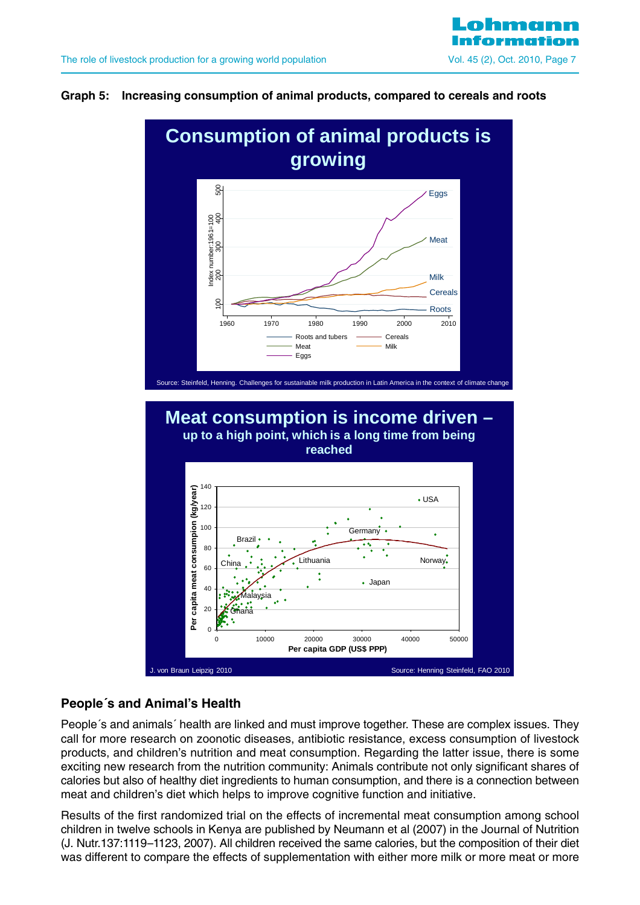#### **Graph 5: Increasing consumption of animal products, compared to cereals and roots**



## **People´s and Animal's Health**

People´s and animals´ health are linked and must improve together. These are complex issues. They call for more research on zoonotic diseases, antibiotic resistance, excess consumption of livestock products, and children's nutrition and meat consumption. Regarding the latter issue, there is some exciting new research from the nutrition community: Animals contribute not only significant shares of calories but also of healthy diet ingredients to human consumption, and there is a connection between meat and children's diet which helps to improve cognitive function and initiative.

Results of the first randomized trial on the effects of incremental meat consumption among school children in twelve schools in Kenya are published by Neumann et al (2007) in the Journal of Nutrition (J. Nutr.137:1119–1123, 2007). All children received the same calories, but the composition of their diet was different to compare the effects of supplementation with either more milk or more meat or more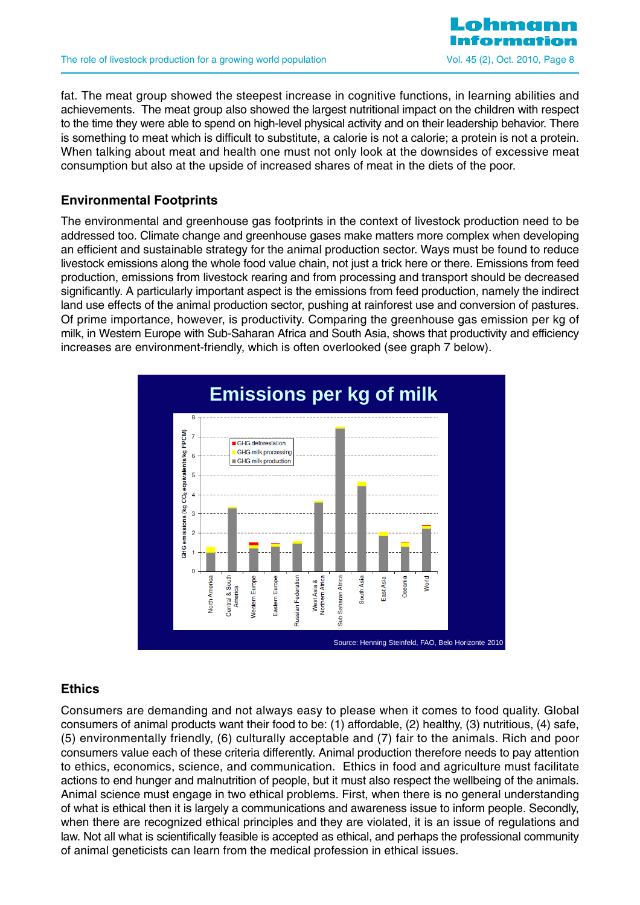

fat. The meat group showed the steepest increase in cognitive functions, in learning abilities and achievements. The meat group also showed the largest nutritional impact on the children with respect to the time they were able to spend on high-level physical activity and on their leadership behavior. There is something to meat which is difficult to substitute, a calorie is not a calorie; a protein is not a protein. When talking about meat and health one must not only look at the downsides of excessive meat consumption but also at the upside of increased shares of meat in the diets of the poor.

## **Environmental Footprints**

The environmental and greenhouse gas footprints in the context of livestock production need to be addressed too. Climate change and greenhouse gases make matters more complex when developing an efficient and sustainable strategy for the animal production sector. Ways must be found to reduce livestock emissions along the whole food value chain, not just a trick here or there. Emissions from feed production, emissions from livestock rearing and from processing and transport should be decreased significantly. A particularly important aspect is the emissions from feed production, namely the indirect land use effects of the animal production sector, pushing at rainforest use and conversion of pastures. Of prime importance, however, is productivity. Comparing the greenhouse gas emission per kg of milk, in Western Europe with Sub-Saharan Africa and South Asia, shows that productivity and efficiency increases are environment-friendly, which is often overlooked (see graph 7 below).



#### **Ethics**

Consumers are demanding and not always easy to please when it comes to food quality. Global consumers of animal products want their food to be: (1) affordable, (2) healthy, (3) nutritious, (4) safe, (5) environmentally friendly, (6) culturally acceptable and (7) fair to the animals. Rich and poor consumers value each of these criteria differently. Animal production therefore needs to pay attention to ethics, economics, science, and communication. Ethics in food and agriculture must facilitate actions to end hunger and malnutrition of people, but it must also respect the wellbeing of the animals. Animal science must engage in two ethical problems. First, when there is no general understanding of what is ethical then it is largely a communications and awareness issue to inform people. Secondly, when there are recognized ethical principles and they are violated, it is an issue of regulations and law. Not all what is scientifically feasible is accepted as ethical, and perhaps the professional community of animal geneticists can learn from the medical profession in ethical issues.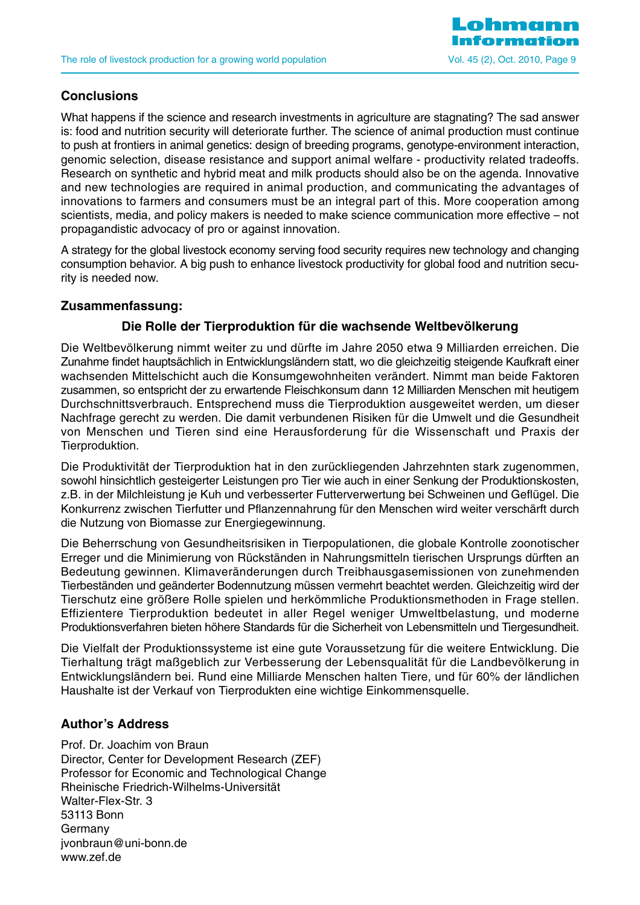

## **Conclusions**

What happens if the science and research investments in agriculture are stagnating? The sad answer is: food and nutrition security will deteriorate further. The science of animal production must continue to push at frontiers in animal genetics: design of breeding programs, genotype-environment interaction, genomic selection, disease resistance and support animal welfare - productivity related tradeoffs. Research on synthetic and hybrid meat and milk products should also be on the agenda. Innovative and new technologies are required in animal production, and communicating the advantages of innovations to farmers and consumers must be an integral part of this. More cooperation among scientists, media, and policy makers is needed to make science communication more effective – not propagandistic advocacy of pro or against innovation.

A strategy for the global livestock economy serving food security requires new technology and changing consumption behavior. A big push to enhance livestock productivity for global food and nutrition security is needed now.

## **Zusammenfassung:**

## **Die Rolle der Tierproduktion für die wachsende Weltbevölkerung**

Die Weltbevölkerung nimmt weiter zu und dürfte im Jahre 2050 etwa 9 Milliarden erreichen. Die Zunahme findet hauptsächlich in Entwicklungsländern statt, wo die gleichzeitig steigende Kaufkraft einer wachsenden Mittelschicht auch die Konsumgewohnheiten verändert. Nimmt man beide Faktoren zusammen, so entspricht der zu erwartende Fleischkonsum dann 12 Milliarden Menschen mit heutigem Durchschnittsverbrauch. Entsprechend muss die Tierproduktion ausgeweitet werden, um dieser Nachfrage gerecht zu werden. Die damit verbundenen Risiken für die Umwelt und die Gesundheit von Menschen und Tieren sind eine Herausforderung für die Wissenschaft und Praxis der Tierproduktion.

Die Produktivität der Tierproduktion hat in den zurückliegenden Jahrzehnten stark zugenommen, sowohl hinsichtlich gesteigerter Leistungen pro Tier wie auch in einer Senkung der Produktionskosten, z.B. in der Milchleistung je Kuh und verbesserter Futterverwertung bei Schweinen und Geflügel. Die Konkurrenz zwischen Tierfutter und Pflanzennahrung für den Menschen wird weiter verschärft durch die Nutzung von Biomasse zur Energiegewinnung.

Die Beherrschung von Gesundheitsrisiken in Tierpopulationen, die globale Kontrolle zoonotischer Erreger und die Minimierung von Rückständen in Nahrungsmitteln tierischen Ursprungs dürften an Bedeutung gewinnen. Klimaveränderungen durch Treibhausgasemissionen von zunehmenden Tierbeständen und geänderter Bodennutzung müssen vermehrt beachtet werden. Gleichzeitig wird der Tierschutz eine größere Rolle spielen und herkömmliche Produktionsmethoden in Frage stellen. Effizientere Tierproduktion bedeutet in aller Regel weniger Umweltbelastung, und moderne Produktionsverfahren bieten höhere Standards für die Sicherheit von Lebensmitteln und Tiergesundheit.

Die Vielfalt der Produktionssysteme ist eine gute Voraussetzung für die weitere Entwicklung. Die Tierhaltung trägt maßgeblich zur Verbesserung der Lebensqualität für die Landbevölkerung in Entwicklungsländern bei. Rund eine Milliarde Menschen halten Tiere, und für 60% der ländlichen Haushalte ist der Verkauf von Tierprodukten eine wichtige Einkommensquelle.

#### **Author's Address**

Prof. Dr. Joachim von Braun Director, Center for Development Research (ZEF) Professor for Economic and Technological Change Rheinische Friedrich-Wilhelms-Universität Walter-Flex-Str. 3 53113 Bonn Germany jvonbraun@uni-bonn.de www.zef.de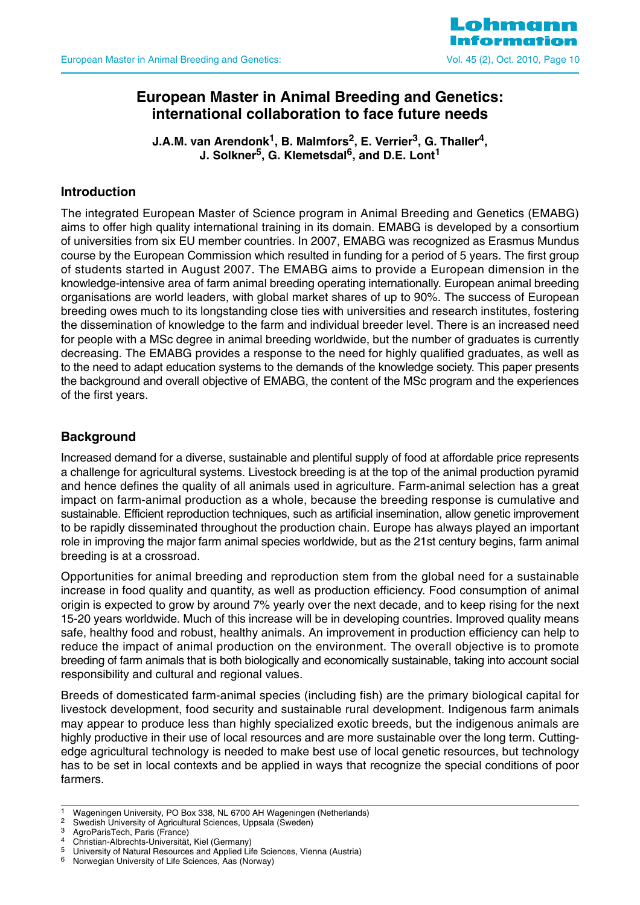

## **European Master in Animal Breeding and Genetics: international collaboration to face future needs**

**J.A.M. van Arendonk<sup>1</sup>, B. Malmfors<sup>2</sup>, E. Verrier<sup>3</sup>, G. Thaller<sup>4</sup>, J. Solkner5, G. Klemetsdal6, and D.E. Lont1**

## **Introduction**

The integrated European Master of Science program in Animal Breeding and Genetics (EMABG) aims to offer high quality international training in its domain. EMABG is developed by a consortium of universities from six EU member countries. In 2007, EMABG was recognized as Erasmus Mundus course by the European Commission which resulted in funding for a period of 5 years. The first group of students started in August 2007. The EMABG aims to provide a European dimension in the knowledge-intensive area of farm animal breeding operating internationally. European animal breeding organisations are world leaders, with global market shares of up to 90%. The success of European breeding owes much to its longstanding close ties with universities and research institutes, fostering the dissemination of knowledge to the farm and individual breeder level. There is an increased need for people with a MSc degree in animal breeding worldwide, but the number of graduates is currently decreasing. The EMABG provides a response to the need for highly qualified graduates, as well as to the need to adapt education systems to the demands of the knowledge society. This paper presents the background and overall objective of EMABG, the content of the MSc program and the experiences of the first years.

## **Background**

Increased demand for a diverse, sustainable and plentiful supply of food at affordable price represents a challenge for agricultural systems. Livestock breeding is at the top of the animal production pyramid and hence defines the quality of all animals used in agriculture. Farm-animal selection has a great impact on farm-animal production as a whole, because the breeding response is cumulative and sustainable. Efficient reproduction techniques, such as artificial insemination, allow genetic improvement to be rapidly disseminated throughout the production chain. Europe has always played an important role in improving the major farm animal species worldwide, but as the 21st century begins, farm animal breeding is at a crossroad.

Opportunities for animal breeding and reproduction stem from the global need for a sustainable increase in food quality and quantity, as well as production efficiency. Food consumption of animal origin is expected to grow by around 7% yearly over the next decade, and to keep rising for the next 15-20 years worldwide. Much of this increase will be in developing countries. Improved quality means safe, healthy food and robust, healthy animals. An improvement in production efficiency can help to reduce the impact of animal production on the environment. The overall objective is to promote breeding of farm animals that is both biologically and economically sustainable, taking into account social responsibility and cultural and regional values.

Breeds of domesticated farm-animal species (including fish) are the primary biological capital for livestock development, food security and sustainable rural development. Indigenous farm animals may appear to produce less than highly specialized exotic breeds, but the indigenous animals are highly productive in their use of local resources and are more sustainable over the long term. Cuttingedge agricultural technology is needed to make best use of local genetic resources, but technology has to be set in local contexts and be applied in ways that recognize the special conditions of poor farmers.

- 
- 
- <sup>4</sup> Christian-Albrechts-Universität, Kiel (Germany)<sup>5</sup> Liniversity of Natural Besources and Applied Lit

<sup>1</sup> Wageningen University, PO Box 338, NL 6700 AH Wageningen (Netherlands)<br>
<sup>2</sup> Swedish University of Agricultural Sciences, Uppsala (Sweden)<br>
<sup>3</sup> AgroParisTech, Paris (France)

<sup>&</sup>lt;sup>5</sup> University of Natural Resources and Applied Life Sciences, Vienna (Austria)

<sup>6</sup> Norwegian University of Life Sciences, Aas (Norway)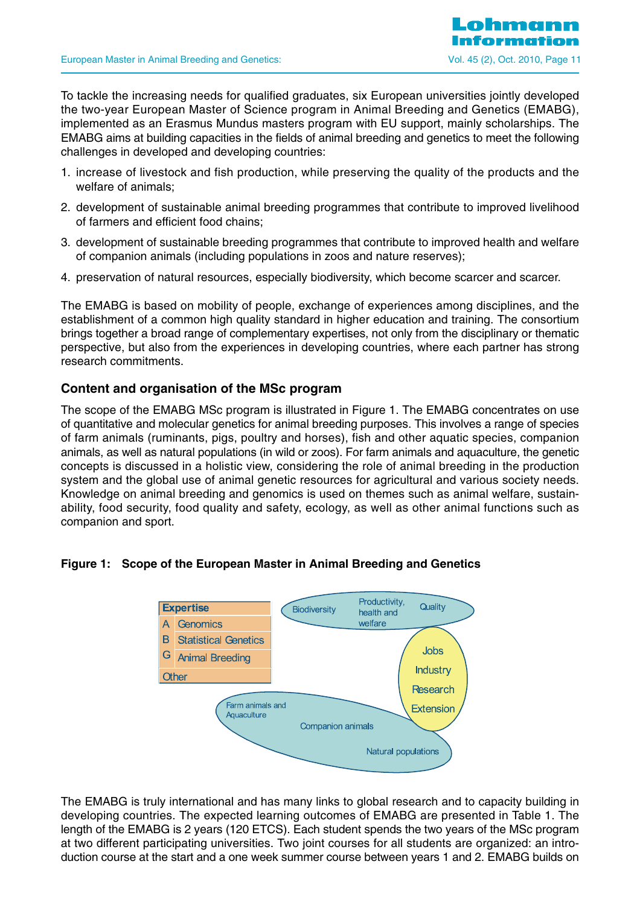To tackle the increasing needs for qualified graduates, six European universities jointly developed the two-year European Master of Science program in Animal Breeding and Genetics (EMABG), implemented as an Erasmus Mundus masters program with EU support, mainly scholarships. The EMABG aims at building capacities in the fields of animal breeding and genetics to meet the following challenges in developed and developing countries:

- 1. increase of livestock and fish production, while preserving the quality of the products and the welfare of animals;
- 2. development of sustainable animal breeding programmes that contribute to improved livelihood of farmers and efficient food chains;
- 3. development of sustainable breeding programmes that contribute to improved health and welfare of companion animals (including populations in zoos and nature reserves);
- 4. preservation of natural resources, especially biodiversity, which become scarcer and scarcer.

The EMABG is based on mobility of people, exchange of experiences among disciplines, and the establishment of a common high quality standard in higher education and training. The consortium brings together a broad range of complementary expertises, not only from the disciplinary or thematic perspective, but also from the experiences in developing countries, where each partner has strong research commitments.

## **Content and organisation of the MSc program**

The scope of the EMABG MSc program is illustrated in Figure 1. The EMABG concentrates on use of quantitative and molecular genetics for animal breeding purposes. This involves a range of species of farm animals (ruminants, pigs, poultry and horses), fish and other aquatic species, companion animals, as well as natural populations (in wild or zoos). For farm animals and aquaculture, the genetic concepts is discussed in a holistic view, considering the role of animal breeding in the production system and the global use of animal genetic resources for agricultural and various society needs. Knowledge on animal breeding and genomics is used on themes such as animal welfare, sustainability, food security, food quality and safety, ecology, as well as other animal functions such as companion and sport.

#### **Figure 1: Scope of the European Master in Animal Breeding and Genetics**



The EMABG is truly international and has many links to global research and to capacity building in developing countries. The expected learning outcomes of EMABG are presented in Table 1. The length of the EMABG is 2 years (120 ETCS). Each student spends the two years of the MSc program at two different participating universities. Two joint courses for all students are organized: an introduction course at the start and a one week summer course between years 1 and 2. EMABG builds on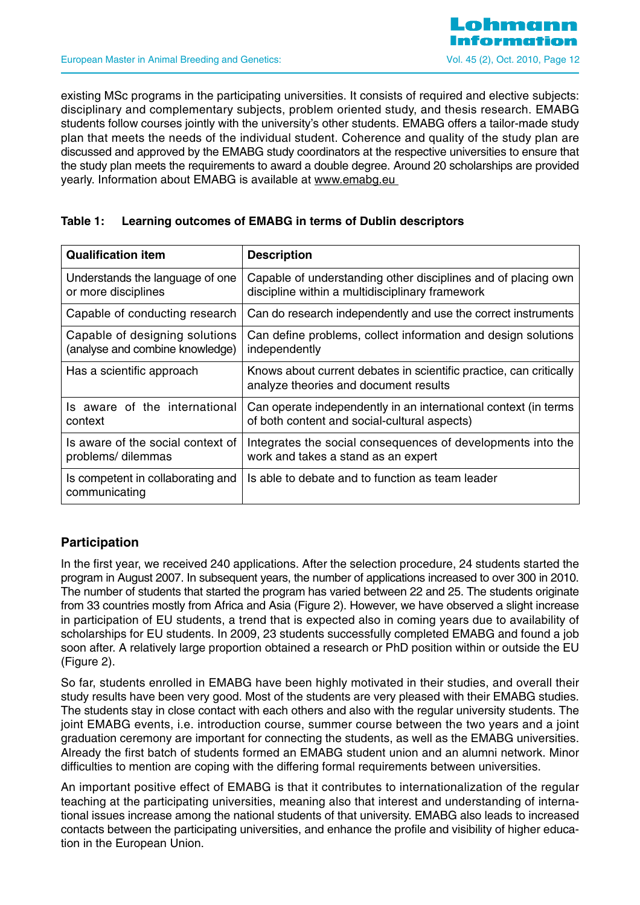existing MSc programs in the participating universities. It consists of required and elective subjects: disciplinary and complementary subjects, problem oriented study, and thesis research. EMABG students follow courses jointly with the university's other students. EMABG offers a tailor-made study plan that meets the needs of the individual student. Coherence and quality of the study plan are discussed and approved by the EMABG study coordinators at the respective universities to ensure that the study plan meets the requirements to award a double degree. Around 20 scholarships are provided yearly. Information about EMABG is available at www.emabg.eu

#### **Table 1: Learning outcomes of EMABG in terms of Dublin descriptors**

| <b>Qualification item</b>                          | <b>Description</b>                                                                                          |
|----------------------------------------------------|-------------------------------------------------------------------------------------------------------------|
| Understands the language of one                    | Capable of understanding other disciplines and of placing own                                               |
| or more disciplines                                | discipline within a multidisciplinary framework                                                             |
| Capable of conducting research                     | Can do research independently and use the correct instruments                                               |
| Capable of designing solutions                     | Can define problems, collect information and design solutions                                               |
| (analyse and combine knowledge)                    | independently                                                                                               |
| Has a scientific approach                          | Knows about current debates in scientific practice, can critically<br>analyze theories and document results |
| Is aware of the international                      | Can operate independently in an international context (in terms                                             |
| context                                            | of both content and social-cultural aspects)                                                                |
| Is aware of the social context of                  | Integrates the social consequences of developments into the                                                 |
| problems/dilemmas                                  | work and takes a stand as an expert                                                                         |
| Is competent in collaborating and<br>communicating | Is able to debate and to function as team leader                                                            |

## **Participation**

In the first year, we received 240 applications. After the selection procedure, 24 students started the program in August 2007. In subsequent years, the number of applications increased to over 300 in 2010. The number of students that started the program has varied between 22 and 25. The students originate from 33 countries mostly from Africa and Asia (Figure 2). However, we have observed a slight increase in participation of EU students, a trend that is expected also in coming years due to availability of scholarships for EU students. In 2009, 23 students successfully completed EMABG and found a job soon after. A relatively large proportion obtained a research or PhD position within or outside the EU (Figure 2).

So far, students enrolled in EMABG have been highly motivated in their studies, and overall their study results have been very good. Most of the students are very pleased with their EMABG studies. The students stay in close contact with each others and also with the regular university students. The joint EMABG events, i.e. introduction course, summer course between the two years and a joint graduation ceremony are important for connecting the students, as well as the EMABG universities. Already the first batch of students formed an EMABG student union and an alumni network. Minor difficulties to mention are coping with the differing formal requirements between universities.

An important positive effect of EMABG is that it contributes to internationalization of the regular teaching at the participating universities, meaning also that interest and understanding of international issues increase among the national students of that university. EMABG also leads to increased contacts between the participating universities, and enhance the profile and visibility of higher education in the European Union.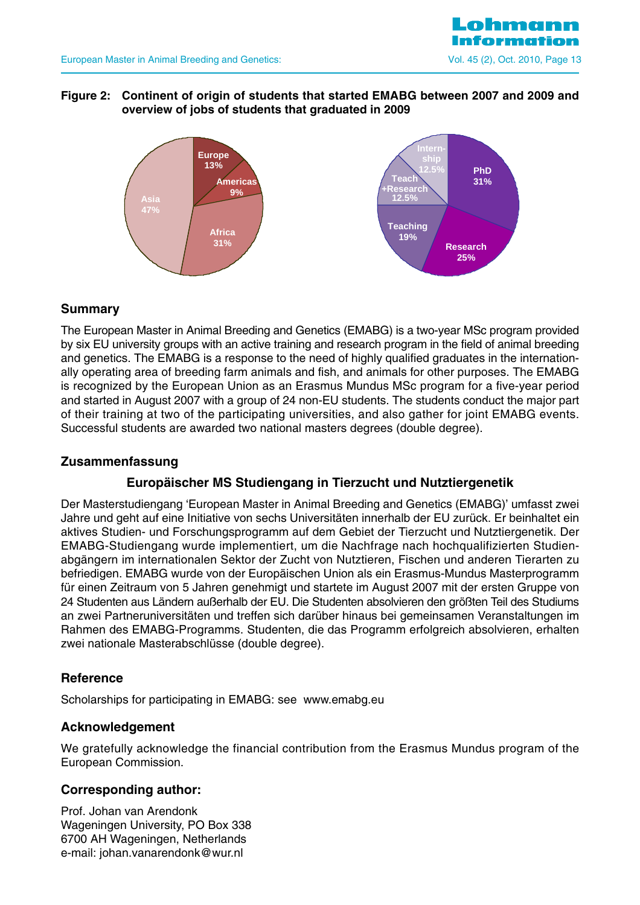

#### **Figure 2: Continent of origin of students that started EMABG between 2007 and 2009 and overview of jobs of students that graduated in 2009**



## **Summary**

The European Master in Animal Breeding and Genetics (EMABG) is a two-year MSc program provided by six EU university groups with an active training and research program in the field of animal breeding and genetics. The EMABG is a response to the need of highly qualified graduates in the internationally operating area of breeding farm animals and fish, and animals for other purposes. The EMABG is recognized by the European Union as an Erasmus Mundus MSc program for a five-year period and started in August 2007 with a group of 24 non-EU students. The students conduct the major part of their training at two of the participating universities, and also gather for joint EMABG events. Successful students are awarded two national masters degrees (double degree).

## **Zusammenfassung**

## **Europäischer MS Studiengang in Tierzucht und Nutztiergenetik**

Der Masterstudiengang 'European Master in Animal Breeding and Genetics (EMABG)' umfasst zwei Jahre und geht auf eine Initiative von sechs Universitäten innerhalb der EU zurück. Er beinhaltet ein aktives Studien- und Forschungsprogramm auf dem Gebiet der Tierzucht und Nutztiergenetik. Der EMABG-Studiengang wurde implementiert, um die Nachfrage nach hochqualifizierten Studienabgängern im internationalen Sektor der Zucht von Nutztieren, Fischen und anderen Tierarten zu befriedigen. EMABG wurde von der Europäischen Union als ein Erasmus-Mundus Masterprogramm für einen Zeitraum von 5 Jahren genehmigt und startete im August 2007 mit der ersten Gruppe von 24 Studenten aus Ländern außerhalb der EU. Die Studenten absolvieren den größten Teil des Studiums an zwei Partneruniversitäten und treffen sich darüber hinaus bei gemeinsamen Veranstaltungen im Rahmen des EMABG-Programms. Studenten, die das Programm erfolgreich absolvieren, erhalten zwei nationale Masterabschlüsse (double degree).

#### **Reference**

Scholarships for participating in EMABG: see www.emabg.eu

#### **Acknowledgement**

We gratefully acknowledge the financial contribution from the Erasmus Mundus program of the European Commission.

#### **Corresponding author:**

Prof. Johan van Arendonk Wageningen University, PO Box 338 6700 AH Wageningen, Netherlands e-mail: johan.vanarendonk@wur.nl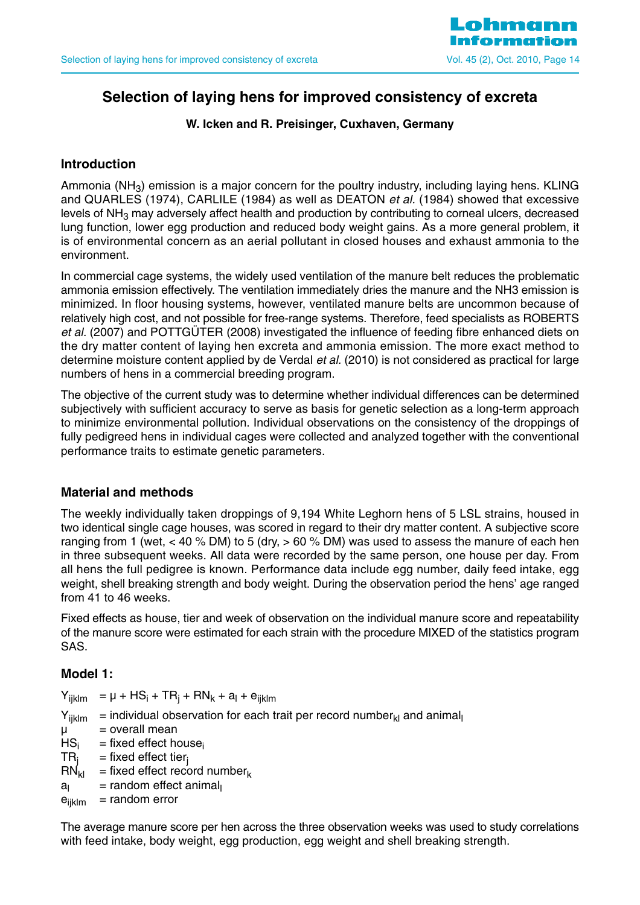

## **Selection of laying hens for improved consistency of excreta**

#### **W. Icken and R. Preisinger, Cuxhaven, Germany**

## **Introduction**

Ammonia ( $NH<sub>3</sub>$ ) emission is a major concern for the poultry industry, including laying hens. KLING and QUARLES (1974), CARLILE (1984) as well as DEATON et al. (1984) showed that excessive levels of  $NH<sub>3</sub>$  may adversely affect health and production by contributing to corneal ulcers, decreased lung function, lower egg production and reduced body weight gains. As a more general problem, it is of environmental concern as an aerial pollutant in closed houses and exhaust ammonia to the environment.

In commercial cage systems, the widely used ventilation of the manure belt reduces the problematic ammonia emission effectively. The ventilation immediately dries the manure and the NH3 emission is minimized. In floor housing systems, however, ventilated manure belts are uncommon because of relatively high cost, and not possible for free-range systems. Therefore, feed specialists as ROBERTS et al. (2007) and POTTGÜTER (2008) investigated the influence of feeding fibre enhanced diets on the dry matter content of laying hen excreta and ammonia emission. The more exact method to determine moisture content applied by de Verdal et al. (2010) is not considered as practical for large numbers of hens in a commercial breeding program.

The objective of the current study was to determine whether individual differences can be determined subjectively with sufficient accuracy to serve as basis for genetic selection as a long-term approach to minimize environmental pollution. Individual observations on the consistency of the droppings of fully pedigreed hens in individual cages were collected and analyzed together with the conventional performance traits to estimate genetic parameters.

#### **Material and methods**

The weekly individually taken droppings of 9,194 White Leghorn hens of 5 LSL strains, housed in two identical single cage houses, was scored in regard to their dry matter content. A subjective score ranging from 1 (wet, < 40 % DM) to 5 (dry, > 60 % DM) was used to assess the manure of each hen in three subsequent weeks. All data were recorded by the same person, one house per day. From all hens the full pedigree is known. Performance data include egg number, daily feed intake, egg weight, shell breaking strength and body weight. During the observation period the hens' age ranged from 41 to 46 weeks.

Fixed effects as house, tier and week of observation on the individual manure score and repeatability of the manure score were estimated for each strain with the procedure MIXED of the statistics program SAS.

## **Model 1:**

 $Y_{iiklm} = \mu + HS_i + TR_i + RN_k + a_l + e_{iiklm}$  $Y_{iiklm}$  = individual observation for each trait per record number<sub>kl</sub> and animal  $\mu$  = overall mean  $HS_i$  = fixed effect house<sub>i</sub><br>TR<sub>i</sub> = fixed effect tier<sub>i</sub>  $TR_j$  = fixed effect tier <br> $RN_{kl}$  = fixed effect recc = fixed effect record number  $a<sub>l</sub>$  = random effect animal  $e_{ijklm}$  = random error

The average manure score per hen across the three observation weeks was used to study correlations with feed intake, body weight, egg production, egg weight and shell breaking strength.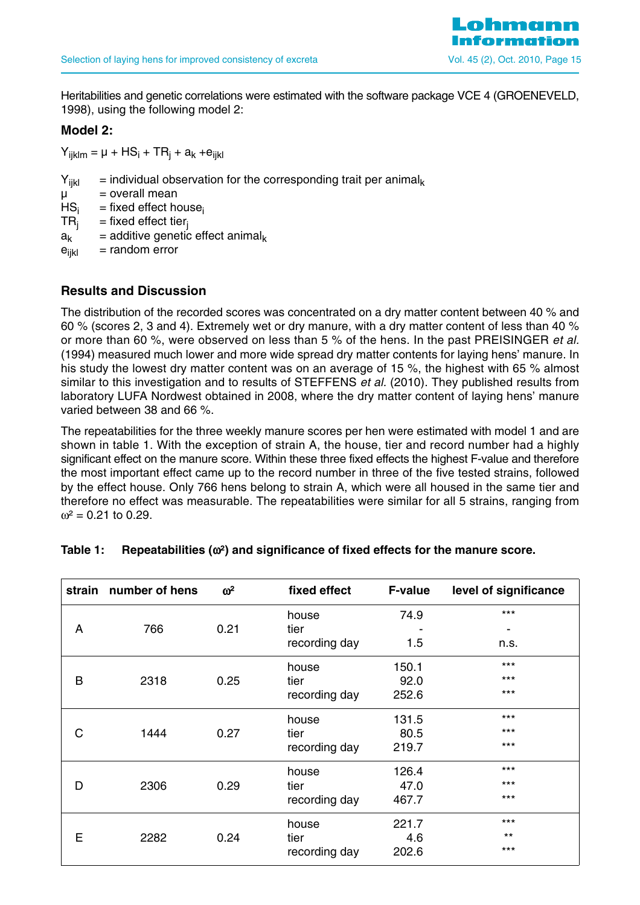

Heritabilities and genetic correlations were estimated with the software package VCE 4 (GROENEVELD, 1998), using the following model 2:

#### **Model 2:**

 $Y_{iiklm} = \mu + HS_i + TR_i + a_k + e_{iikl}$ 

- $Y_{ijkl}$  = individual observation for the corresponding trait per animal<sub>k</sub>
- $\mu$  = overall mean
- $HS_i$  = fixed effect house<sub>i</sub><br>TR<sub>i</sub> = fixed effect tier<sub>i</sub>
- $=$  fixed effect tier<sub>i</sub>
- $a_k$  = additive genetic effect animal<sub>k</sub>
- $e_{ijkl}$  = random error

## **Results and Discussion**

The distribution of the recorded scores was concentrated on a dry matter content between 40 % and 60 % (scores 2, 3 and 4). Extremely wet or dry manure, with a dry matter content of less than 40 % or more than 60 %, were observed on less than 5 % of the hens. In the past PREISINGER *et al.* (1994) measured much lower and more wide spread dry matter contents for laying hens' manure. In his study the lowest dry matter content was on an average of 15 %, the highest with 65 % almost similar to this investigation and to results of STEFFENS et al. (2010). They published results from laboratory LUFA Nordwest obtained in 2008, where the dry matter content of laying hens' manure varied between 38 and 66 %.

The repeatabilities for the three weekly manure scores per hen were estimated with model 1 and are shown in table 1. With the exception of strain A, the house, tier and record number had a highly significant effect on the manure score. Within these three fixed effects the highest F-value and therefore the most important effect came up to the record number in three of the five tested strains, followed by the effect house. Only 766 hens belong to strain A, which were all housed in the same tier and therefore no effect was measurable. The repeatabilities were similar for all 5 strains, ranging from  $\omega^2$  = 0.21 to 0.29.

| strain | number of hens | $\omega^2$ | fixed effect  | <b>F-value</b> | level of significance |
|--------|----------------|------------|---------------|----------------|-----------------------|
|        |                |            | house         | 74.9           | $***$                 |
| A      | 766            | 0.21       | tier          |                |                       |
|        |                |            | recording day | 1.5            | n.s.                  |
|        |                |            | house         | 150.1          | $***$                 |
| B      | 2318           | 0.25       | tier          | 92.0           | $***$                 |
|        |                |            | recording day | 252.6          | $***$                 |
|        |                |            | house         | 131.5          | $***$                 |
| C      | 1444           | 0.27       | tier          | 80.5           | $***$                 |
|        |                |            | recording day | 219.7          | $***$                 |
|        |                |            | house         | 126.4          | $***$                 |
| D      | 2306           | 0.29       | tier          | 47.0           | $***$                 |
|        |                |            | recording day | 467.7          | $***$                 |
|        |                |            | house         | 221.7          | $***$                 |
| E      | 2282           | 0.24       | tier          | 4.6            | $***$                 |
|        |                |            | recording day | 202.6          | $***$                 |

#### **Table 1: Repeatabilities (**ω**²) and significance of fixed effects for the manure score.**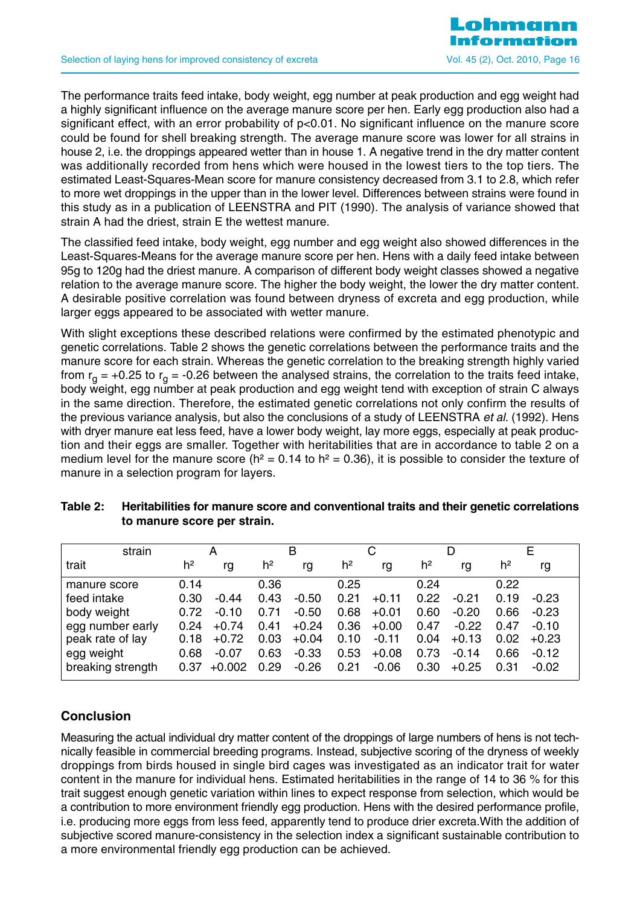The performance traits feed intake, body weight, egg number at peak production and egg weight had a highly significant influence on the average manure score per hen. Early egg production also had a significant effect, with an error probability of  $p<0.01$ . No significant influence on the manure score could be found for shell breaking strength. The average manure score was lower for all strains in house 2, i.e. the droppings appeared wetter than in house 1. A negative trend in the dry matter content was additionally recorded from hens which were housed in the lowest tiers to the top tiers. The estimated Least-Squares-Mean score for manure consistency decreased from 3.1 to 2.8, which refer to more wet droppings in the upper than in the lower level. Differences between strains were found in this study as in a publication of LEENSTRA and PIT (1990). The analysis of variance showed that strain A had the driest, strain E the wettest manure.

The classified feed intake, body weight, egg number and egg weight also showed differences in the Least-Squares-Means for the average manure score per hen. Hens with a daily feed intake between 95g to 120g had the driest manure. A comparison of different body weight classes showed a negative relation to the average manure score. The higher the body weight, the lower the dry matter content. A desirable positive correlation was found between dryness of excreta and egg production, while larger eggs appeared to be associated with wetter manure.

With slight exceptions these described relations were confirmed by the estimated phenotypic and genetic correlations. Table 2 shows the genetic correlations between the performance traits and the manure score for each strain. Whereas the genetic correlation to the breaking strength highly varied from  $r_{\alpha}$  = +0.25 to  $r_{\alpha}$  = -0.26 between the analysed strains, the correlation to the traits feed intake, body weight, egg number at peak production and egg weight tend with exception of strain C always in the same direction. Therefore, the estimated genetic correlations not only confirm the results of the previous variance analysis, but also the conclusions of a study of LEENSTRA et al. (1992). Hens with dryer manure eat less feed, have a lower body weight, lay more eggs, especially at peak production and their eggs are smaller. Together with heritabilities that are in accordance to table 2 on a medium level for the manure score ( $h^2 = 0.14$  to  $h^2 = 0.36$ ), it is possible to consider the texture of manure in a selection program for layers.

| strain            |                | A        |                | в       |                |         |                | D       |                | E       |
|-------------------|----------------|----------|----------------|---------|----------------|---------|----------------|---------|----------------|---------|
| trait             | h <sup>2</sup> | rg       | h <sup>2</sup> | rg      | h <sup>2</sup> | rg      | h <sup>2</sup> | rg      | h <sup>2</sup> | rg      |
| manure score      | 0.14           |          | 0.36           |         | 0.25           |         | 0.24           |         | 0.22           |         |
| feed intake       | 0.30           | $-0.44$  | 0.43           | $-0.50$ | 0.21           | $+0.11$ | 0.22           | $-0.21$ | 0.19           | $-0.23$ |
| body weight       | 0.72           | $-0.10$  | 0.71           | $-0.50$ | 0.68           | $+0.01$ | 0.60           | $-0.20$ | 0.66           | $-0.23$ |
| egg number early  | 0.24           | $+0.74$  | 0.41           | $+0.24$ | 0.36           | $+0.00$ | 0.47           | $-0.22$ | 0.47           | $-0.10$ |
| peak rate of lay  | 0.18           | $+0.72$  | 0.03           | $+0.04$ | 0.10           | $-0.11$ | 0.04           | $+0.13$ | 0.02           | $+0.23$ |
| egg weight        | 0.68           | $-0.07$  | 0.63           | $-0.33$ | 0.53           | $+0.08$ | 0.73           | $-0.14$ | 0.66           | $-0.12$ |
| breaking strength | 0.37           | $+0.002$ | 0.29           | $-0.26$ | 0.21           | $-0.06$ | 0.30           | $+0.25$ | 0.31           | $-0.02$ |

## **Table 2: Heritabilities for manure score and conventional traits and their genetic correlations to manure score per strain.**

## **Conclusion**

Measuring the actual individual dry matter content of the droppings of large numbers of hens is not technically feasible in commercial breeding programs. Instead, subjective scoring of the dryness of weekly droppings from birds housed in single bird cages was investigated as an indicator trait for water content in the manure for individual hens. Estimated heritabilities in the range of 14 to 36 % for this trait suggest enough genetic variation within lines to expect response from selection, which would be a contribution to more environment friendly egg production. Hens with the desired performance profile, i.e. producing more eggs from less feed, apparently tend to produce drier excreta.With the addition of subjective scored manure-consistency in the selection index a significant sustainable contribution to a more environmental friendly egg production can be achieved.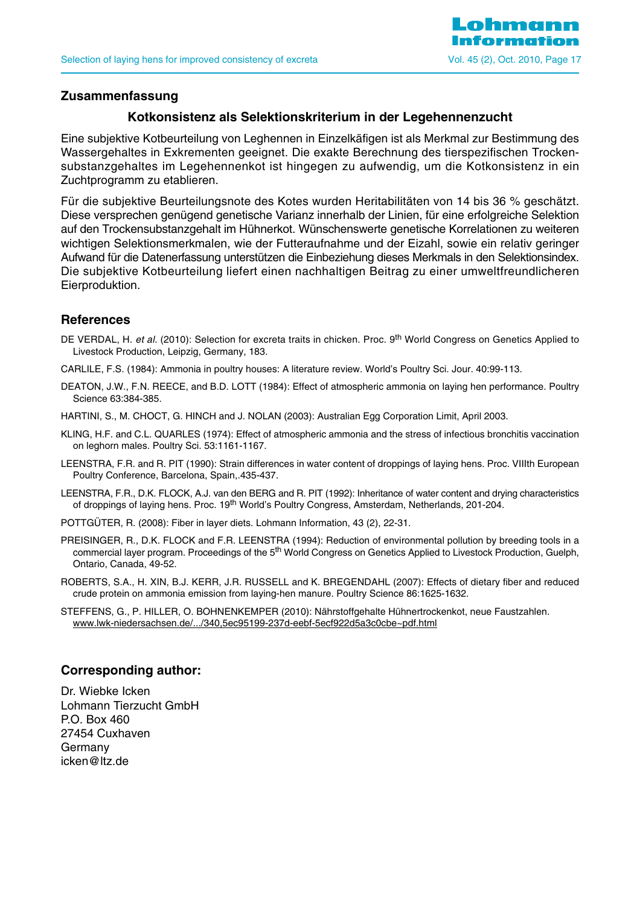

#### **Zusammenfassung**

## **Kotkonsistenz als Selektionskriterium in der Legehennenzucht**

Eine subjektive Kotbeurteilung von Leghennen in Einzelkäfigen ist als Merkmal zur Bestimmung des Wassergehaltes in Exkrementen geeignet. Die exakte Berechnung des tierspezifischen Trockensubstanzgehaltes im Legehennenkot ist hingegen zu aufwendig, um die Kotkonsistenz in ein Zuchtprogramm zu etablieren.

Für die subjektive Beurteilungsnote des Kotes wurden Heritabilitäten von 14 bis 36 % geschätzt. Diese versprechen genügend genetische Varianz innerhalb der Linien, für eine erfolgreiche Selektion auf den Trockensubstanzgehalt im Hühnerkot. Wünschenswerte genetische Korrelationen zu weiteren wichtigen Selektionsmerkmalen, wie der Futteraufnahme und der Eizahl, sowie ein relativ geringer Aufwand für die Datenerfassung unterstützen die Einbeziehung dieses Merkmals in den Selektionsindex. Die subjektive Kotbeurteilung liefert einen nachhaltigen Beitrag zu einer umweltfreundlicheren Eierproduktion.

#### **References**

- DE VERDAL, H. et al. (2010): Selection for excreta traits in chicken. Proc. 9<sup>th</sup> World Congress on Genetics Applied to Livestock Production, Leipzig, Germany, 183.
- CARLILE, F.S. (1984): Ammonia in poultry houses: A literature review. World's Poultry Sci. Jour. 40:99-113.
- DEATON, J.W., F.N. REECE, and B.D. LOTT (1984): Effect of atmospheric ammonia on laying hen performance. Poultry Science 63:384-385.
- HARTINI, S., M. CHOCT, G. HINCH and J. NOLAN (2003): Australian Egg Corporation Limit, April 2003.
- KLING, H.F. and C.L. QUARLES (1974): Effect of atmospheric ammonia and the stress of infectious bronchitis vaccination on leghorn males. Poultry Sci. 53:1161-1167.
- LEENSTRA, F.R. and R. PIT (1990): Strain differences in water content of droppings of laying hens. Proc. VIIIth European Poultry Conference, Barcelona, Spain,.435-437.
- LEENSTRA, F.R., D.K. FLOCK, A.J. van den BERG and R. PIT (1992): Inheritance of water content and drying characteristics of droppings of laying hens. Proc. 19<sup>th</sup> World's Poultry Congress, Amsterdam, Netherlands, 201-204.
- POTTGÜTER, R. (2008): Fiber in layer diets. Lohmann Information, 43 (2), 22-31.
- PREISINGER, R., D.K. FLOCK and F.R. LEENSTRA (1994): Reduction of environmental pollution by breeding tools in a commercial layer program. Proceedings of the 5<sup>th</sup> World Congress on Genetics Applied to Livestock Production, Guelph, Ontario, Canada, 49-52.
- ROBERTS, S.A., H. XIN, B.J. KERR, J.R. RUSSELL and K. BREGENDAHL (2007): Effects of dietary fiber and reduced crude protein on ammonia emission from laying-hen manure. Poultry Science 86:1625-1632.
- STEFFENS, G., P. HILLER, O. BOHNENKEMPER (2010): Nährstoffgehalte Hühnertrockenkot, neue Faustzahlen. www.lwk-niedersachsen.de/.../340,5ec95199-237d-eebf-5ecf922d5a3c0cbe~pdf.html

#### **Corresponding author:**

Dr. Wiebke Icken Lohmann Tierzucht GmbH P.O. Box 460 27454 Cuxhaven Germany icken@ltz.de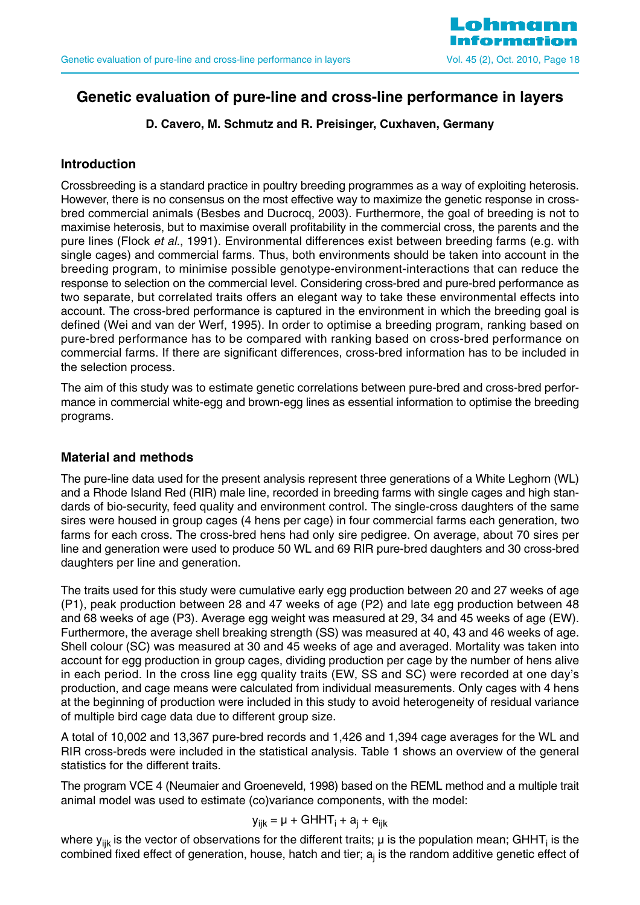

## **Genetic evaluation of pure-line and cross-line performance in layers**

## **D. Cavero, M. Schmutz and R. Preisinger, Cuxhaven, Germany**

## **Introduction**

Crossbreeding is a standard practice in poultry breeding programmes as a way of exploiting heterosis. However, there is no consensus on the most effective way to maximize the genetic response in crossbred commercial animals (Besbes and Ducrocq, 2003). Furthermore, the goal of breeding is not to maximise heterosis, but to maximise overall profitability in the commercial cross, the parents and the pure lines (Flock et al., 1991). Environmental differences exist between breeding farms (e.g. with single cages) and commercial farms. Thus, both environments should be taken into account in the breeding program, to minimise possible genotype-environment-interactions that can reduce the response to selection on the commercial level. Considering cross-bred and pure-bred performance as two separate, but correlated traits offers an elegant way to take these environmental effects into account. The cross-bred performance is captured in the environment in which the breeding goal is defined (Wei and van der Werf, 1995). In order to optimise a breeding program, ranking based on pure-bred performance has to be compared with ranking based on cross-bred performance on commercial farms. If there are significant differences, cross-bred information has to be included in the selection process.

The aim of this study was to estimate genetic correlations between pure-bred and cross-bred performance in commercial white-egg and brown-egg lines as essential information to optimise the breeding programs.

## **Material and methods**

The pure-line data used for the present analysis represent three generations of a White Leghorn (WL) and a Rhode Island Red (RIR) male line, recorded in breeding farms with single cages and high standards of bio-security, feed quality and environment control. The single-cross daughters of the same sires were housed in group cages (4 hens per cage) in four commercial farms each generation, two farms for each cross. The cross-bred hens had only sire pedigree. On average, about 70 sires per line and generation were used to produce 50 WL and 69 RIR pure-bred daughters and 30 cross-bred daughters per line and generation.

The traits used for this study were cumulative early egg production between 20 and 27 weeks of age (P1), peak production between 28 and 47 weeks of age (P2) and late egg production between 48 and 68 weeks of age (P3). Average egg weight was measured at 29, 34 and 45 weeks of age (EW). Furthermore, the average shell breaking strength (SS) was measured at 40, 43 and 46 weeks of age. Shell colour (SC) was measured at 30 and 45 weeks of age and averaged. Mortality was taken into account for egg production in group cages, dividing production per cage by the number of hens alive in each period. In the cross line egg quality traits (EW, SS and SC) were recorded at one day's production, and cage means were calculated from individual measurements. Only cages with 4 hens at the beginning of production were included in this study to avoid heterogeneity of residual variance of multiple bird cage data due to different group size.

A total of 10,002 and 13,367 pure-bred records and 1,426 and 1,394 cage averages for the WL and RIR cross-breds were included in the statistical analysis. Table 1 shows an overview of the general statistics for the different traits.

The program VCE 4 (Neumaier and Groeneveld, 1998) based on the REML method and a multiple trait animal model was used to estimate (co)variance components, with the model:

$$
y_{ijk} = \mu + GHHT_i + a_j + e_{ijk}
$$

where  $y_{ijk}$  is the vector of observations for the different traits;  $\mu$  is the population mean; GHHT<sub>i</sub> is the combined fixed effect of generation, house, hatch and tier;  $a_i$  is the random additive genetic effect of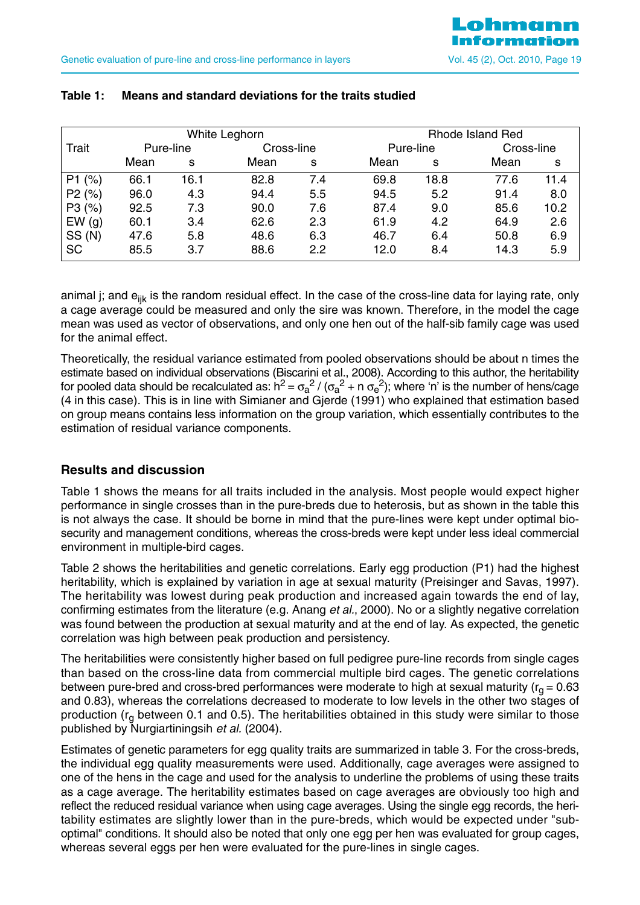| White Leghorn |           |      |      |            | <b>Rhode Island Red</b> |           |      |            |  |
|---------------|-----------|------|------|------------|-------------------------|-----------|------|------------|--|
| Trait         | Pure-line |      |      | Cross-line |                         | Pure-line |      | Cross-line |  |
|               | Mean      | s    | Mean | s          | Mean                    | s         | Mean | s          |  |
| P1(%)         | 66.1      | 16.1 | 82.8 | 7.4        | 69.8                    | 18.8      | 77.6 | 11.4       |  |
| P2(%)         | 96.0      | 4.3  | 94.4 | 5.5        | 94.5                    | 5.2       | 91.4 | 8.0        |  |
| P3(%)         | 92.5      | 7.3  | 90.0 | 7.6        | 87.4                    | 9.0       | 85.6 | 10.2       |  |
| EW(g)         | 60.1      | 3.4  | 62.6 | 2.3        | 61.9                    | 4.2       | 64.9 | 2.6        |  |
| SS(N)         | 47.6      | 5.8  | 48.6 | 6.3        | 46.7                    | 6.4       | 50.8 | 6.9        |  |
| <b>SC</b>     | 85.5      | 3.7  | 88.6 | 2.2        | 12.0                    | 8.4       | 14.3 | 5.9        |  |

#### **Table 1: Means and standard deviations for the traits studied**

animal j; and e<sub>iik</sub> is the random residual effect. In the case of the cross-line data for laying rate, only a cage average could be measured and only the sire was known. Therefore, in the model the cage mean was used as vector of observations, and only one hen out of the half-sib family cage was used for the animal effect.

Theoretically, the residual variance estimated from pooled observations should be about n times the estimate based on individual observations (Biscarini et al., 2008). According to this author, the heritability for pooled data should be recalculated as: h<sup>2</sup> =  $\sigma_a^2$  / ( $\sigma_a^2$  + n  $\sigma_e^2$ ); where 'n' is the number of hens/cage (4 in this case). This is in line with Simianer and Gjerde (1991) who explained that estimation based on group means contains less information on the group variation, which essentially contributes to the estimation of residual variance components.

## **Results and discussion**

Table 1 shows the means for all traits included in the analysis. Most people would expect higher performance in single crosses than in the pure-breds due to heterosis, but as shown in the table this is not always the case. It should be borne in mind that the pure-lines were kept under optimal biosecurity and management conditions, whereas the cross-breds were kept under less ideal commercial environment in multiple-bird cages.

Table 2 shows the heritabilities and genetic correlations. Early egg production (P1) had the highest heritability, which is explained by variation in age at sexual maturity (Preisinger and Savas, 1997). The heritability was lowest during peak production and increased again towards the end of lay, confirming estimates from the literature (e.g. Anang et al., 2000). No or a slightly negative correlation was found between the production at sexual maturity and at the end of lay. As expected, the genetic correlation was high between peak production and persistency.

The heritabilities were consistently higher based on full pedigree pure-line records from single cages than based on the cross-line data from commercial multiple bird cages. The genetic correlations between pure-bred and cross-bred performances were moderate to high at sexual maturity ( $r<sub>q</sub> = 0.63$ ) and 0.83), whereas the correlations decreased to moderate to low levels in the other two stages of production ( $r_a$  between 0.1 and 0.5). The heritabilities obtained in this study were similar to those published by Nurgiartiningsih et al. (2004).

Estimates of genetic parameters for egg quality traits are summarized in table 3. For the cross-breds, the individual egg quality measurements were used. Additionally, cage averages were assigned to one of the hens in the cage and used for the analysis to underline the problems of using these traits as a cage average. The heritability estimates based on cage averages are obviously too high and reflect the reduced residual variance when using cage averages. Using the single egg records, the heritability estimates are slightly lower than in the pure-breds, which would be expected under "suboptimal" conditions. It should also be noted that only one egg per hen was evaluated for group cages, whereas several eggs per hen were evaluated for the pure-lines in single cages.